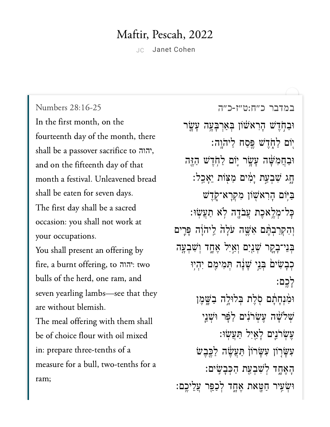## Maftir, Pescah, 2022

JC Janet [Cohen](https://www.sefaria.org/profile/janet-cohen)

במדבר [כ״ח:ט״ז-כ״ה](https://www.sefaria.org/Numbers%2028:16-25) [28:16-25 Numbers](https://www.sefaria.org/Numbers%2028:16-25) In the first month, on the fourteenth day of the month, there shall be a passover sacrifice to יהוה, and on the fifteenth day of that month a festival. Unleavened bread shall be eaten for seven days. The first day shall be a sacred occasion: you shall not work at your occupations. You shall present an offering by fire, a burnt offering, to יהוה: two bulls of the herd, one ram, and seven yearling lambs—see that they are without blemish. The meal offering with them shall be of choice flour with oil mixed in: prepare three-tenths of a measure for a bull, two-tenths for a ram;

ֿוּבַחְדִּשׁ הָרִא<sup>ָּ</sup>שׁׂוֹן בִּאַרְבָּעֶה עָשֶׂר יִוֹם לַחָ*דִ*ּשׁ פֵּסַח לַיה<u>ו</u>ְה: ּוּבַחֲמִשָּׁה עָשָׂר יִוֹם לַחְדָשׁ הַזֶּה ָּחָג שִׁבְעֲת יַמִּים מַצְּוֹת יֵאֲכֵל: ַּבַּיִּׂוֹם הָרְאֹשָׁוֹן מְקְרָא־קָדֵשׁ ׇּכל־ְמֶ֥לאֶכת ֲעֹבָ֖דה ֹ֥לא ַתֲעֽׂשּו׃ וְהִקְרַבְהֶם אָּשֶׁה עֹלָה לֵיהוָֹה פָּרֶים בִּנִי־בָקֵר שָׁנַיִם וְאַיִל אֶחֶד וְשָׁבְעָה ְכְּבַשִּׂים ִבְּנֵי שָׁנָה תִּמִימֶם יְהִיְוּ ָלֶֽכם׃ וּמְנְחָתַׁם סִׂלֵת בִּלוּלֵה בַ**ֹּשֶ**מֶן שִׁלִּשָּׁה עֵשְׂרֹנִים לַפָּר וּשְׁנֵי ַעֲשִׂרֹנֵים לַאֲיָל תַּעֲשׂוּ: ַעִּשָּׂרְוֹן עִשָּׂרוֹן תַּעֲשֶׂה לַכֵּבִש ָהֶאָ֑חד ְלִׁשְבַ֖עת ַהְּכָבִֽׂשים׃ ּוּשָׂעִיר חַטֳאת אֶחֶד לְכַפֵּר עֲלֵיכֵם: